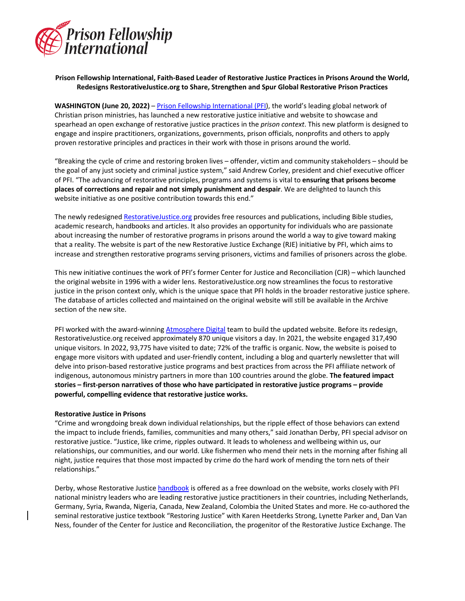

## **Prison Fellowship International, Faith-Based Leader of Restorative Justice Practices in Prisons Around the World, Redesigns RestorativeJustice.org to Share, Strengthen and Spur Global Restorative Prison Practices**

**WASHINGTON (June 20, 2022)** – Prison Fellowship International (PFI), the world's leading global network of Christian prison ministries, has launched a new restorative justice initiative and website to showcase and spearhead an open exchange of restorative justice practices in the *prison context*. This new platform is designed to engage and inspire practitioners, organizations, governments, prison officials, nonprofits and others to apply proven restorative principles and practices in their work with those in prisons around the world.

"Breaking the cycle of crime and restoring broken lives – offender, victim and community stakeholders – should be the goal of any just society and criminal justice system," said Andrew Corley, president and chief executive officer of PFI. "The advancing of restorative principles, programs and systems is vital to **ensuring that prisons become places of corrections and repair and not simply punishment and despair**. We are delighted to launch this website initiative as one positive contribution towards this end."

The newly redesigned RestorativeJustice.org provides free resources and publications, including Bible studies, academic research, handbooks and articles. It also provides an opportunity for individuals who are passionate about increasing the number of restorative programs in prisons around the world a way to give toward making that a reality. The website is part of the new Restorative Justice Exchange (RJE) initiative by PFI, which aims to increase and strengthen restorative programs serving prisoners, victims and families of prisoners across the globe.

This new initiative continues the work of PFI's former Center for Justice and Reconciliation (CJR) – which launched the original website in 1996 with a wider lens. RestorativeJustice.org now streamlines the focus to restorative justice in the prison context only, which is the unique space that PFI holds in the broader restorative justice sphere. The database of articles collected and maintained on the original website will still be available in the Archive section of the new site.

PFI worked with the award-winning Atmosphere Digital team to build the updated website. Before its redesign, RestorativeJustice.org received approximately 870 unique visitors a day. In 2021, the website engaged 317,490 unique visitors. In 2022, 93,775 have visited to date; 72% of the traffic is organic. Now, the website is poised to engage more visitors with updated and user-friendly content, including a blog and quarterly newsletter that will delve into prison-based restorative justice programs and best practices from across the PFI affiliate network of indigenous, autonomous ministry partners in more than 100 countries around the globe. **The featured impact stories – first-person narratives of those who have participated in restorative justice programs – provide powerful, compelling evidence that restorative justice works.**

## **Restorative Justice in Prisons**

"Crime and wrongdoing break down individual relationships, but the ripple effect of those behaviors can extend the impact to include friends, families, communities and many others," said Jonathan Derby, PFI special advisor on restorative justice. "Justice, like crime, ripples outward. It leads to wholeness and wellbeing within us, our relationships, our communities, and our world. Like fishermen who mend their nets in the morning after fishing all night, justice requires that those most impacted by crime do the hard work of mending the torn nets of their relationships."

Derby, whose Restorative Justice handbook is offered as a free download on the website, works closely with PFI national ministry leaders who are leading restorative justice practitioners in their countries, including Netherlands, Germany, Syria, Rwanda, Nigeria, Canada, New Zealand, Colombia the United States and more. He co-authored the seminal restorative justice textbook "Restoring Justice" with Karen Heetderks Strong, Lynette Parker and, Dan Van Ness, founder of the Center for Justice and Reconciliation, the progenitor of the Restorative Justice Exchange. The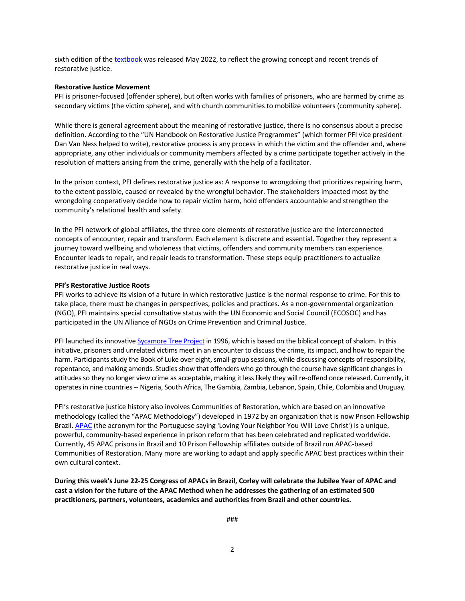sixth edition of the textbook was released May 2022, to reflect the growing concept and recent trends of restorative justice.

## **Restorative Justice Movement**

PFI is prisoner-focused (offender sphere), but often works with families of prisoners, who are harmed by crime as secondary victims (the victim sphere), and with church communities to mobilize volunteers (community sphere).

While there is general agreement about the meaning of restorative justice, there is no consensus about a precise definition. According to the "UN Handbook on Restorative Justice Programmes" (which former PFI vice president Dan Van Ness helped to write), restorative process is any process in which the victim and the offender and, where appropriate, any other individuals or community members affected by a crime participate together actively in the resolution of matters arising from the crime, generally with the help of a facilitator.

In the prison context, PFI defines restorative justice as: A response to wrongdoing that prioritizes repairing harm, to the extent possible, caused or revealed by the wrongful behavior. The stakeholders impacted most by the wrongdoing cooperatively decide how to repair victim harm, hold offenders accountable and strengthen the community's relational health and safety.

In the PFI network of global affiliates, the three core elements of restorative justice are the interconnected concepts of encounter, repair and transform. Each element is discrete and essential. Together they represent a journey toward wellbeing and wholeness that victims, offenders and community members can experience. Encounter leads to repair, and repair leads to transformation. These steps equip practitioners to actualize restorative justice in real ways.

## **PFI's Restorative Justice Roots**

PFI works to achieve its vision of a future in which restorative justice is the normal response to crime. For this to take place, there must be changes in perspectives, policies and practices. As a non-governmental organization (NGO), PFI maintains special consultative status with the UN Economic and Social Council (ECOSOC) and has participated in the UN Alliance of NGOs on Crime Prevention and Criminal Justice.

PFI launched its innovative Sycamore Tree Project in 1996, which is based on the biblical concept of shalom. In this initiative, prisoners and unrelated victims meet in an encounter to discuss the crime, its impact, and how to repair the harm. Participants study the Book of Luke over eight, small-group sessions, while discussing concepts of responsibility, repentance, and making amends. Studies show that offenders who go through the course have significant changes in attitudes so they no longer view crime as acceptable, making it less likely they will re-offend once released. Currently, it operates in nine countries -- Nigeria, South Africa, The Gambia, Zambia, Lebanon, Spain, Chile, Colombia and Uruguay.

PFI's restorative justice history also involves Communities of Restoration, which are based on an innovative methodology (called the "APAC Methodology") developed in 1972 by an organization that is now Prison Fellowship Brazil. APAC (the acronym for the Portuguese saying 'Loving Your Neighbor You Will Love Christ') is a unique, powerful, community-based experience in prison reform that has been celebrated and replicated worldwide. Currently, 45 APAC prisons in Brazil and 10 Prison Fellowship affiliates outside of Brazil run APAC-based Communities of Restoration. Many more are working to adapt and apply specific APAC best practices within their own cultural context.

**During this week's June 22-25 Congress of APACs in Brazil, Corley will celebrate the Jubilee Year of APAC and cast a vision for the future of the APAC Method when he addresses the gathering of an estimated 500 practitioners, partners, volunteers, academics and authorities from Brazil and other countries.** 

###